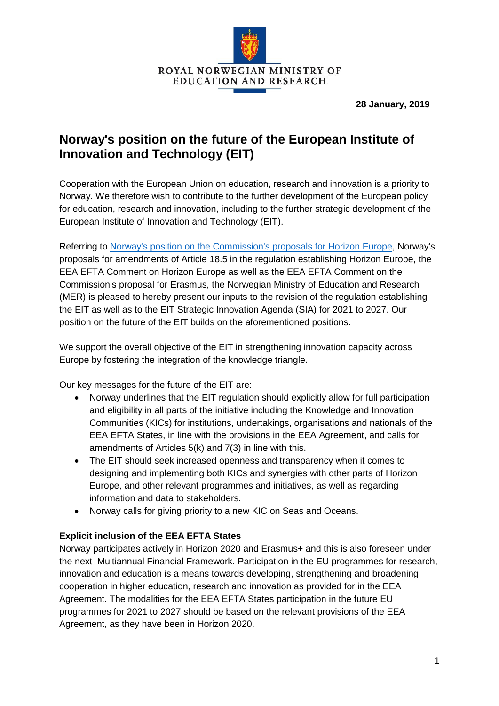

**28 January, 2019**

## **Norway's position on the future of the European Institute of Innovation and Technology (EIT)**

Cooperation with the European Union on education, research and innovation is a priority to Norway. We therefore wish to contribute to the further development of the European policy for education, research and innovation, including to the further strategic development of the European Institute of Innovation and Technology (EIT).

Referring to [Norway's position on the Commission's proposals for Horizon Europe,](https://www.regjeringen.no/contentassets/5b61a16228b94bef96d9894f1292341b/norwegian-positions-on-horizon-europe-and-amendment-proposals.pdf.pdf) Norway's proposals for amendments of Article 18.5 in the regulation establishing Horizon Europe, the EEA EFTA Comment on Horizon Europe as well as the EEA EFTA Comment on the Commission's proposal for [Erasmus,](http://www.efta.int/sites/default/files/documents/eea/eea-efta-comments/2018/eea-efta-comment-erasmus-2021-2027.pdf) the Norwegian Ministry of Education and Research (MER) is pleased to hereby present our inputs to the revision of the regulation establishing the EIT as well as to the EIT Strategic Innovation Agenda (SIA) for 2021 to 2027. Our position on the future of the EIT builds on the aforementioned positions.

We support the overall objective of the EIT in strengthening innovation capacity across Europe by fostering the integration of the knowledge triangle.

Our key messages for the future of the EIT are:

- Norway underlines that the EIT regulation should explicitly allow for full participation and eligibility in all parts of the initiative including the Knowledge and Innovation Communities (KICs) for institutions, undertakings, organisations and nationals of the EEA EFTA States, in line with the provisions in the EEA Agreement, and calls for amendments of Articles 5(k) and 7(3) in line with this.
- The EIT should seek increased openness and transparency when it comes to designing and implementing both KICs and synergies with other parts of Horizon Europe, and other relevant programmes and initiatives, as well as regarding information and data to stakeholders.
- Norway calls for giving priority to a new KIC on Seas and Oceans.

## **Explicit inclusion of the EEA EFTA States**

Norway participates actively in Horizon 2020 and Erasmus+ and this is also foreseen under the next Multiannual Financial Framework. Participation in the EU programmes for research, innovation and education is a means towards developing, strengthening and broadening cooperation in higher education, research and innovation as provided for in the EEA Agreement. The modalities for the EEA EFTA States participation in the future EU programmes for 2021 to 2027 should be based on the relevant provisions of the EEA Agreement, as they have been in Horizon 2020.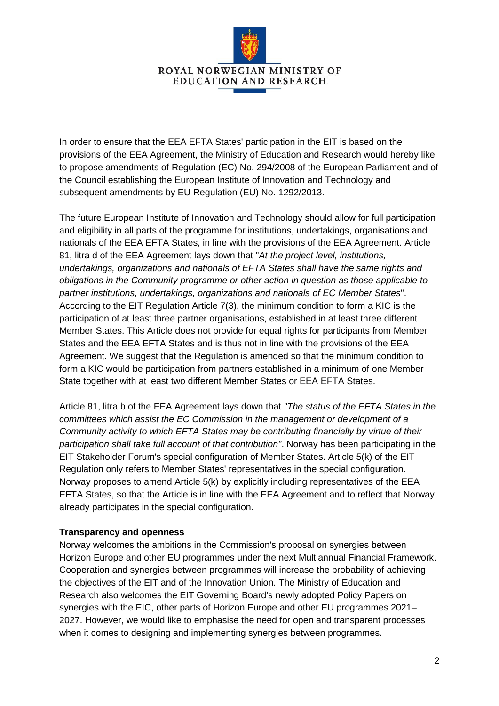

In order to ensure that the EEA EFTA States' participation in the EIT is based on the provisions of the EEA Agreement, the Ministry of Education and Research would hereby like to propose amendments of Regulation (EC) No. 294/2008 of the European Parliament and of the Council establishing the European Institute of Innovation and Technology and subsequent amendments by EU Regulation (EU) No. 1292/2013.

The future European Institute of Innovation and Technology should allow for full participation and eligibility in all parts of the programme for institutions, undertakings, organisations and nationals of the EEA EFTA States, in line with the provisions of the EEA Agreement. Article 81, litra d of the EEA Agreement lays down that "*At the project level, institutions, undertakings, organizations and nationals of EFTA States shall have the same rights and obligations in the Community programme or other action in question as those applicable to partner institutions, undertakings, organizations and nationals of EC Member States*". According to the EIT Regulation Article 7(3), the minimum condition to form a KIC is the participation of at least three partner organisations, established in at least three different Member States. This Article does not provide for equal rights for participants from Member States and the EEA EFTA States and is thus not in line with the provisions of the EEA Agreement. We suggest that the Regulation is amended so that the minimum condition to form a KIC would be participation from partners established in a minimum of one Member State together with at least two different Member States or EEA EFTA States.

Article 81, litra b of the EEA Agreement lays down that *"The status of the EFTA States in the committees which assist the EC Commission in the management or development of a Community activity to which EFTA States may be contributing financially by virtue of their participation shall take full account of that contribution"*. Norway has been participating in the EIT Stakeholder Forum's special configuration of Member States. Article 5(k) of the EIT Regulation only refers to Member States' representatives in the special configuration. Norway proposes to amend Article 5(k) by explicitly including representatives of the EEA EFTA States, so that the Article is in line with the EEA Agreement and to reflect that Norway already participates in the special configuration.

## **Transparency and openness**

Norway welcomes the ambitions in the Commission's proposal on synergies between Horizon Europe and other EU programmes under the next Multiannual Financial Framework. Cooperation and synergies between programmes will increase the probability of achieving the objectives of the EIT and of the Innovation Union. The Ministry of Education and Research also welcomes the EIT Governing Board's newly adopted Policy Papers on synergies with the EIC, other parts of Horizon Europe and other EU programmes 2021– 2027. However, we would like to emphasise the need for open and transparent processes when it comes to designing and implementing synergies between programmes.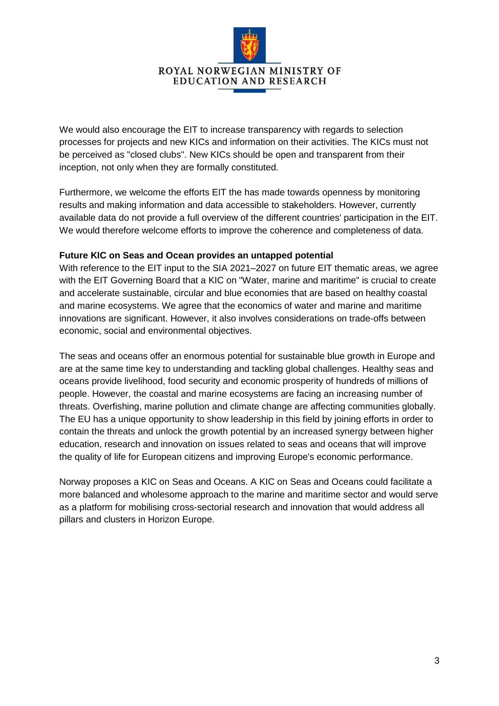

We would also encourage the EIT to increase transparency with regards to selection processes for projects and new KICs and information on their activities. The KICs must not be perceived as "closed clubs". New KICs should be open and transparent from their inception, not only when they are formally constituted.

Furthermore, we welcome the efforts EIT the has made towards openness by monitoring results and making information and data accessible to stakeholders. However, currently available data do not provide a full overview of the different countries' participation in the EIT. We would therefore welcome efforts to improve the coherence and completeness of data.

## **Future KIC on Seas and Ocean provides an untapped potential**

With reference to the EIT input to the SIA 2021–2027 on future EIT thematic areas, we agree with the EIT Governing Board that a KIC on "Water, marine and maritime" is crucial to create and accelerate sustainable, circular and blue economies that are based on healthy coastal and marine ecosystems. We agree that the economics of water and marine and maritime innovations are significant. However, it also involves considerations on trade-offs between economic, social and environmental objectives.

The seas and oceans offer an enormous potential for sustainable blue growth in Europe and are at the same time key to understanding and tackling global challenges. Healthy seas and oceans provide livelihood, food security and economic prosperity of hundreds of millions of people. However, the coastal and marine ecosystems are facing an increasing number of threats. Overfishing, marine pollution and climate change are affecting communities globally. The EU has a unique opportunity to show leadership in this field by joining efforts in order to contain the threats and unlock the growth potential by an increased synergy between higher education, research and innovation on issues related to seas and oceans that will improve the quality of life for European citizens and improving Europe's economic performance.

Norway proposes a KIC on Seas and Oceans. A KIC on Seas and Oceans could facilitate a more balanced and wholesome approach to the marine and maritime sector and would serve as a platform for mobilising cross-sectorial research and innovation that would address all pillars and clusters in Horizon Europe.